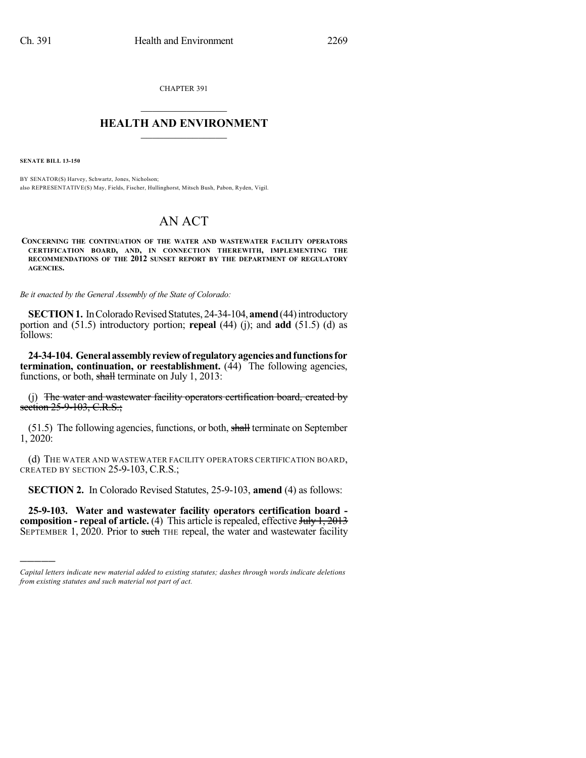CHAPTER 391  $\mathcal{L}_\text{max}$  . The set of the set of the set of the set of the set of the set of the set of the set of the set of the set of the set of the set of the set of the set of the set of the set of the set of the set of the set

## **HEALTH AND ENVIRONMENT**  $\_$

**SENATE BILL 13-150**

)))))

BY SENATOR(S) Harvey, Schwartz, Jones, Nicholson; also REPRESENTATIVE(S) May, Fields, Fischer, Hullinghorst, Mitsch Bush, Pabon, Ryden, Vigil.

## AN ACT

**CONCERNING THE CONTINUATION OF THE WATER AND WASTEWATER FACILITY OPERATORS CERTIFICATION BOARD, AND, IN CONNECTION THEREWITH, IMPLEMENTING THE RECOMMENDATIONS OF THE 2012 SUNSET REPORT BY THE DEPARTMENT OF REGULATORY AGENCIES.**

*Be it enacted by the General Assembly of the State of Colorado:*

**SECTION 1.** In Colorado Revised Statutes, 24-34-104, **amend** (44) introductory portion and (51.5) introductory portion; **repeal** (44) (j); and **add** (51.5) (d) as follows:

**24-34-104. Generalassemblyreviewof regulatoryagenciesandfunctionsfor termination, continuation, or reestablishment.** (44) The following agencies, functions, or both, shall terminate on July 1, 2013:

(j) The water and wastewater facility operators certification board, created by section 25-9-103, C.R.S.;

(51.5) The following agencies, functions, or both, shall terminate on September 1, 2020:

(d) THE WATER AND WASTEWATER FACILITY OPERATORS CERTIFICATION BOARD, CREATED BY SECTION 25-9-103, C.R.S.;

**SECTION 2.** In Colorado Revised Statutes, 25-9-103, **amend** (4) as follows:

**25-9-103. Water and wastewater facility operators certification board composition - repeal of article.** (4) This article is repealed, effective July 1, 2013 SEPTEMBER 1,  $2020$ . Prior to such the repeal, the water and wastewater facility

*Capital letters indicate new material added to existing statutes; dashes through words indicate deletions from existing statutes and such material not part of act.*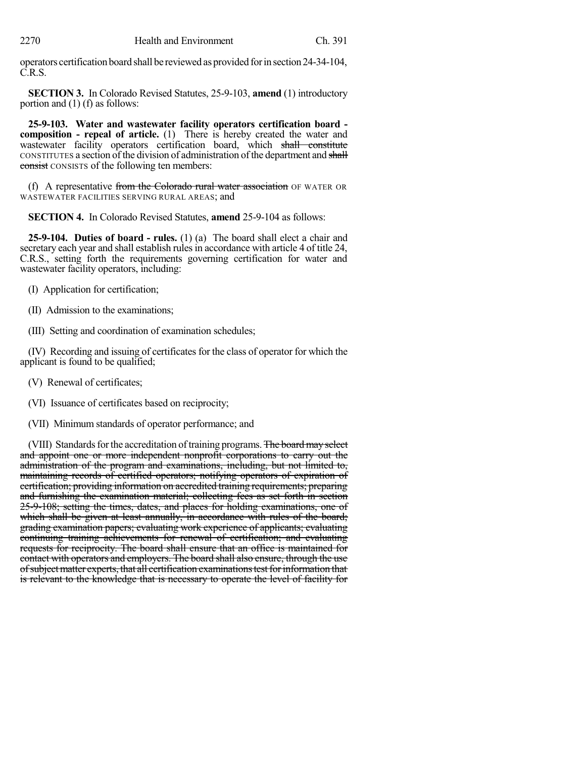operators certification board shall be reviewed as provided forinsection 24-34-104, C.R.S.

**SECTION 3.** In Colorado Revised Statutes, 25-9-103, **amend** (1) introductory portion and (1) (f) as follows:

**25-9-103. Water and wastewater facility operators certification board composition - repeal of article.** (1) There is hereby created the water and wastewater facility operators certification board, which shall constitute CONSTITUTES a section of the division of administration of the department and shall consist CONSISTS of the following ten members:

(f) A representative from the Colorado rural water association OF WATER OR WASTEWATER FACILITIES SERVING RURAL AREAS; and

**SECTION 4.** In Colorado Revised Statutes, **amend** 25-9-104 as follows:

**25-9-104. Duties of board - rules.** (1) (a) The board shall elect a chair and secretary each year and shall establish rules in accordance with article 4 of title 24, C.R.S., setting forth the requirements governing certification for water and wastewater facility operators, including:

- (I) Application for certification;
- (II) Admission to the examinations;
- (III) Setting and coordination of examination schedules;

(IV) Recording and issuing of certificates for the class of operator for which the applicant is found to be qualified;

- (V) Renewal of certificates;
- (VI) Issuance of certificates based on reciprocity;
- (VII) Minimum standards of operator performance; and

(VIII) Standards for the accreditation of training programs. The board may select and appoint one or more independent nonprofit corporations to carry out the administration of the program and examinations, including, but not limited to, maintaining records of certified operators; notifying operators of expiration of certification; providing information on accredited training requirements; preparing and furnishing the examination material; collecting fees as set forth in section 25-9-108; setting the times, dates, and places for holding examinations, one of which shall be given at least annually, in accordance with rules of the board; grading examination papers; evaluating work experience of applicants; evaluating continuing training achievements for renewal of certification; and evaluating requests for reciprocity. The board shall ensure that an office is maintained for contact with operators and employers. The board shall also ensure, through the use of subject matter experts, that all certification examinations test for information that is relevant to the knowledge that is necessary to operate the level of facility for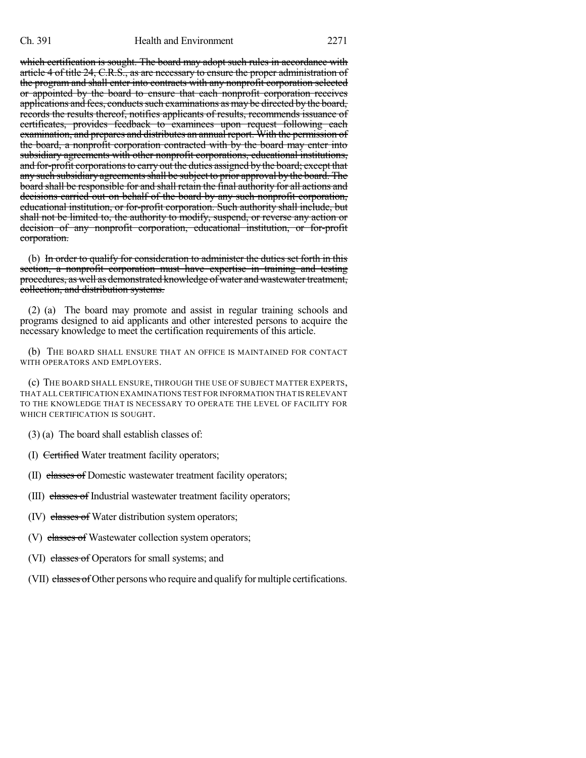which certification is sought. The board may adopt such rules in accordance with article 4 of title 24, C.R.S., as are necessary to ensure the proper administration of the program and shall enter into contracts with any nonprofit corporation selected or appointed by the board to ensure that each nonprofit corporation receives applications and fees, conducts such examinations as may be directed by the board, records the results thereof, notifies applicants of results, recommends issuance of certificates, provides feedback to examinees upon request following each examination, and prepares and distributes an annual report. With the permission of the board, a nonprofit corporation contracted with by the board may enter into subsidiary agreements with other nonprofit corporations, educational institutions, and for-profit corporations to carry out the duties assigned by the board; except that any such subsidiary agreementsshall be subject to prior approval by the board. The board shall be responsible for and shall retain the final authority for all actions and decisions carried out on behalf of the board by any such nonprofit corporation, educational institution, or for-profit corporation. Such authority shall include, but shall not be limited to, the authority to modify, suspend, or reverse any action or decision of any nonprofit corporation, educational institution, or for-profit corporation.

(b) In order to qualify for consideration to administer the duties set forth in this section, a nonprofit corporation must have expertise in training and testing procedures, as well as demonstrated knowledge of water and wastewater treatment, collection, and distribution systems.

(2) (a) The board may promote and assist in regular training schools and programs designed to aid applicants and other interested persons to acquire the necessary knowledge to meet the certification requirements of this article.

(b) THE BOARD SHALL ENSURE THAT AN OFFICE IS MAINTAINED FOR CONTACT WITH OPERATORS AND EMPLOYERS.

(c) THE BOARD SHALL ENSURE, THROUGH THE USE OF SUBJECT MATTER EXPERTS, THAT ALLCERTIFICATION EXAMINATIONS TEST FOR INFORMATION THAT ISRELEVANT TO THE KNOWLEDGE THAT IS NECESSARY TO OPERATE THE LEVEL OF FACILITY FOR WHICH CERTIFICATION IS SOUGHT.

(3) (a) The board shall establish classes of:

(I) Certified Water treatment facility operators;

(II) classes of Domestic wastewater treatment facility operators;

(III) classes of Industrial wastewater treatment facility operators;

(IV) classes of Water distribution system operators;

(V) classes of Wastewater collection system operators;

(VI) classes of Operators for small systems; and

(VII) classes of Other persons who require and qualify for multiple certifications.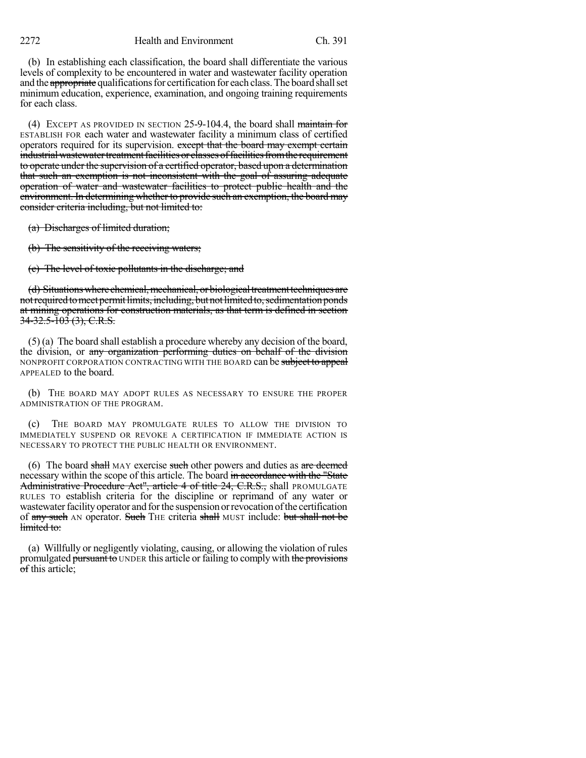2272 Health and Environment Ch. 391

(b) In establishing each classification, the board shall differentiate the various levels of complexity to be encountered in water and wastewater facility operation and the appropriate qualifications for certification for each class. The board shall set minimum education, experience, examination, and ongoing training requirements for each class.

(4) EXCEPT AS PROVIDED IN SECTION 25-9-104.4, the board shall maintain for ESTABLISH FOR each water and wastewater facility a minimum class of certified operators required for its supervision. except that the board may exempt certain industrial wastewater treatment facilities or classes of facilities from the requirement to operate under the supervision of a certified operator, based upon a determination that such an exemption is not inconsistent with the goal of assuring adequate operation of water and wastewater facilities to protect public health and the environment. In determining whether to provide such an exemption, the board may consider criteria including, but not limited to:

(a) Discharges of limited duration;

(b) The sensitivity of the receiving waters;

(c) The level of toxic pollutants in the discharge; and

(d) Situations where chemical, mechanical, or biological treatment techniques are not required to meet permit limits, including, but not limited to, sedimentation ponds at mining operations for construction materials, as that term is defined in section  $34 - 32.5 - 103(3)$ , C.R.S.

(5) (a) The board shall establish a procedure whereby any decision of the board, the division, or any organization performing duties on behalf of the division NONPROFIT CORPORATION CONTRACTING WITH THE BOARD can be subject to appeal APPEALED to the board.

(b) THE BOARD MAY ADOPT RULES AS NECESSARY TO ENSURE THE PROPER ADMINISTRATION OF THE PROGRAM.

(c) THE BOARD MAY PROMULGATE RULES TO ALLOW THE DIVISION TO IMMEDIATELY SUSPEND OR REVOKE A CERTIFICATION IF IMMEDIATE ACTION IS NECESSARY TO PROTECT THE PUBLIC HEALTH OR ENVIRONMENT.

(6) The board shall MAY exercise such other powers and duties as  $\alpha$  deemed necessary within the scope of this article. The board in accordance with the "State" Administrative Procedure Act", article 4 of title 24, C.R.S., shall PROMULGATE RULES TO establish criteria for the discipline or reprimand of any water or wastewater facility operator and for the suspension or revocation of the certification of any such AN operator. Such THE criteria shall MUST include: but shall not be limited to:

(a) Willfully or negligently violating, causing, or allowing the violation of rules promulgated pursuant to UNDER this article or failing to comply with the provisions of this article;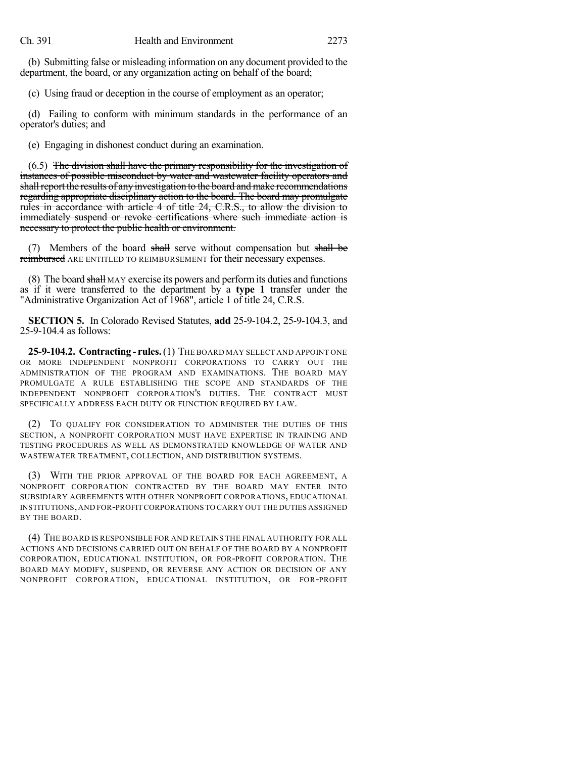(b) Submitting false or misleading information on any document provided to the department, the board, or any organization acting on behalf of the board;

(c) Using fraud or deception in the course of employment as an operator;

(d) Failing to conform with minimum standards in the performance of an operator's duties; and

(e) Engaging in dishonest conduct during an examination.

(6.5) The division shall have the primary responsibility for the investigation of instances of possible misconduct by water and wastewater facility operators and shall report the results of any investigation to the board and make recommendations regarding appropriate disciplinary action to the board. The board may promulgate rules in accordance with article 4 of title 24, C.R.S., to allow the division to immediately suspend or revoke certifications where such immediate action is necessary to protect the public health or environment.

(7) Members of the board shall serve without compensation but shall be reimbursed ARE ENTITLED TO REIMBURSEMENT for their necessary expenses.

(8) The board shall MAY exercise its powers and performits duties and functions as if it were transferred to the department by a **type 1** transfer under the "Administrative Organization Act of 1968", article 1 of title 24, C.R.S.

**SECTION 5.** In Colorado Revised Statutes, **add** 25-9-104.2, 25-9-104.3, and 25-9-104.4 as follows:

**25-9-104.2. Contracting - rules.**(1) THE BOARD MAY SELECT AND APPOINT ONE OR MORE INDEPENDENT NONPROFIT CORPORATIONS TO CARRY OUT THE ADMINISTRATION OF THE PROGRAM AND EXAMINATIONS. THE BOARD MAY PROMULGATE A RULE ESTABLISHING THE SCOPE AND STANDARDS OF THE INDEPENDENT NONPROFIT CORPORATION'S DUTIES. THE CONTRACT MUST SPECIFICALLY ADDRESS EACH DUTY OR FUNCTION REQUIRED BY LAW.

(2) TO QUALIFY FOR CONSIDERATION TO ADMINISTER THE DUTIES OF THIS SECTION, A NONPROFIT CORPORATION MUST HAVE EXPERTISE IN TRAINING AND TESTING PROCEDURES AS WELL AS DEMONSTRATED KNOWLEDGE OF WATER AND WASTEWATER TREATMENT, COLLECTION, AND DISTRIBUTION SYSTEMS.

(3) WITH THE PRIOR APPROVAL OF THE BOARD FOR EACH AGREEMENT, A NONPROFIT CORPORATION CONTRACTED BY THE BOARD MAY ENTER INTO SUBSIDIARY AGREEMENTS WITH OTHER NONPROFIT CORPORATIONS, EDUCATIONAL INSTITUTIONS,AND FOR-PROFIT CORPORATIONS TO CARRY OUT THE DUTIES ASSIGNED BY THE BOARD.

(4) THE BOARD IS RESPONSIBLE FOR AND RETAINS THE FINAL AUTHORITY FOR ALL ACTIONS AND DECISIONS CARRIED OUT ON BEHALF OF THE BOARD BY A NONPROFIT CORPORATION, EDUCATIONAL INSTITUTION, OR FOR-PROFIT CORPORATION. THE BOARD MAY MODIFY, SUSPEND, OR REVERSE ANY ACTION OR DECISION OF ANY NONPROFIT CORPORATION, EDUCATIONAL INSTITUTION, OR FOR-PROFIT